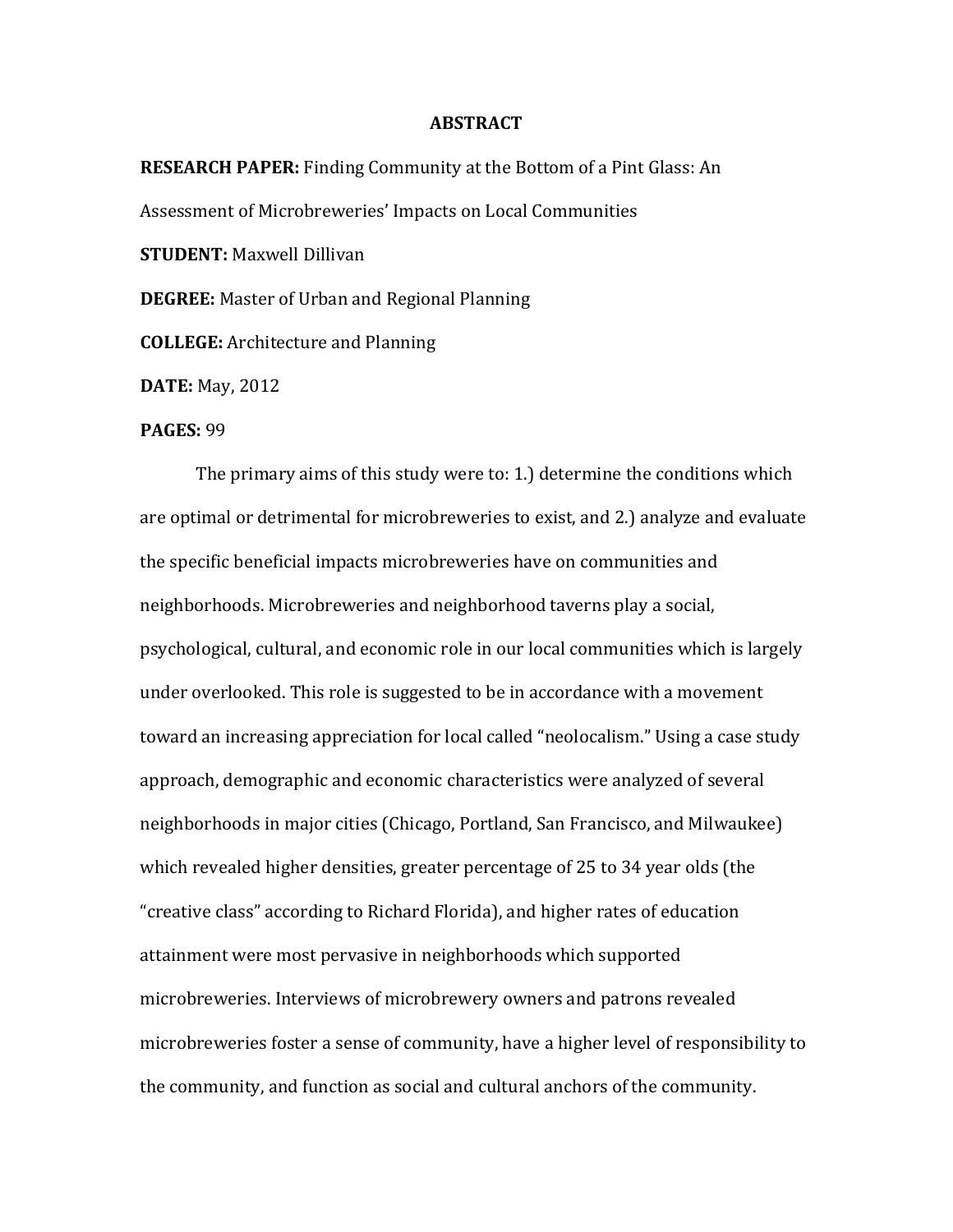## **ABSTRACT**

**RESEARCH PAPER:** Finding Community at the Bottom of a Pint Glass: An Assessment of Microbreweries' Impacts on Local Communities **STUDENT:** Maxwell Dillivan **DEGREE:** Master of Urban and Regional Planning

**COLLEGE:** Architecture and Planning

**DATE:** May, 2012

## **PAGES:** 99

The primary aims of this study were to: 1.) determine the conditions which are optimal or detrimental for microbreweries to exist, and 2.) analyze and evaluate the specific beneficial impacts microbreweries have on communities and neighborhoods. Microbreweries and neighborhood taverns play a social, psychological, cultural, and economic role in our local communities which is largely under overlooked. This role is suggested to be in accordance with a movement toward an increasing appreciation for local called "neolocalism." Using a case study approach, demographic and economic characteristics were analyzed of several neighborhoods in major cities (Chicago, Portland, San Francisco, and Milwaukee) which revealed higher densities, greater percentage of 25 to 34 year olds (the "creative class" according to Richard Florida), and higher rates of education attainment were most pervasive in neighborhoods which supported microbreweries. Interviews of microbrewery owners and patrons revealed microbreweries foster a sense of community, have a higher level of responsibility to the community, and function as social and cultural anchors of the community.